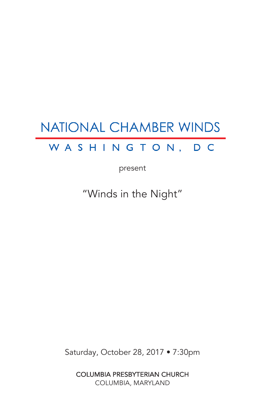# **NATIONAL CHAMBER WINDS**

# WASHINGTON, DC

present

"Winds in the Night"

Saturday, October 28, 2017 • 7:30pm

COLUMBIA PRESBYTERIAN CHURCH COLUMBIA, MARYLAND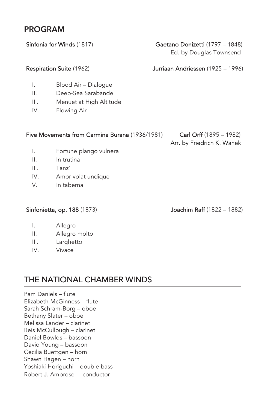#### PROGRAM

Sinfonia for Winds (1817) Gaetano Donizetti (1797 – 1848)

Ed. by Douglas Townsend

#### Respiration Suite (1962) Jurriaan Andriessen (1925 – 1996)

- I. Blood Air Dialogue
- II. Deep-Sea Sarabande
- III. Menuet at High Altitude
- IV. Flowing Air

#### Five Movements from Carmina Burana (1936/1981) Carl Orff (1895 – 1982)

# Arr. by Friedrich K. Wanek

- I. Fortune plango vulnera
- II. In trutina
- III. Tanz`
- IV. Amor volat undique
- V. In taberna

Sinfonietta, op. 188 (1873) Joachim Raff (1822 – 1882)

- I. Allegro
- II. Allegro molto
- III. Larghetto
- IV. Vivace

# THE NATIONAL CHAMBER WINDS

Pam Daniels – flute Elizabeth McGinness – flute Sarah Schram-Borg – oboe Bethany Slater – oboe Melissa Lander – clarinet Reis McCullough – clarinet Daniel Bowlds – bassoon David Young – bassoon Cecilia Buettgen – horn Shawn Hagen – horn Yoshiaki Horiguchi – double bass Robert J. Ambrose – conductor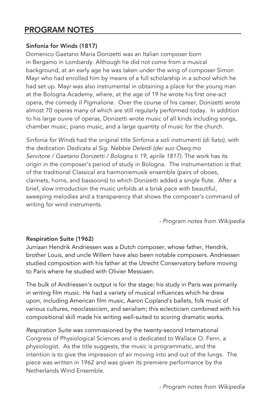#### PROGRAM NOTES

#### Sinfonia for Winds (1817)

Domenico Gaetano Maria Donizetti was an Italian composer born in Bergamo in Lombardy. Although he did not come from a musical background, at an early age he was taken under the wing of composer Simon Mayr who had enrolled him by means of a full scholarship in a school which he had set up. Mayr was also instrumental in obtaining a place for the young man at the Bologna Academy, where, at the age of 19 he wrote his first one-act opera, the comedy *Il Pigmalione*. Over the course of his career, Donizetti wrote almost 70 operas many of which are still regularly performed today. In addition to his large ouvre of operas, Donizetti wrote music of all kinds including songs, chamber music, piano music, and a large quantity of music for the church.

*Sinfonia for Winds* had the original title *Sinfonia a soli instrumenti (di fiato),* with the dedication *Dedicata al Sig. Nebbie Deleidi (dei suo Oseq.mo Servitore / Gaetano Donizetti / Bologna ti 19, aprile 1817).* The work has its origin in the composer's period of study in Bologna. The instrumentation is that of the traditional Classical era harmoniemusik ensemble (pairs of oboes, clarinets, horns, and bassoons) to which Donizetti added a single flute. After a brief, slow introduction the music unfolds at a brisk pace with beautiful, sweeping melodies and a transparency that shows the composer's command of writing for wind instruments.

*- Program notes from Wikipedia*

#### Respiration Suite (1962)

Jurriaan Hendrik Andriessen was a Dutch composer, whose father, Hendrik, brother Louis, and uncle Willem have also been notable composers. Andriessen studied composition with his father at the Utrecht Conservatory before moving to Paris where he studied with Olivier Messiaen.

The bulk of Andriessen's output is for the stage; his study in Paris was primarily in writing film music. He had a variety of musical influences which he drew upon, including American film music, Aaron Copland's ballets, folk music of various cultures, neoclassicism, and serialism; this eclecticism combined with his compositional skill made his writing well-suited to scoring dramatic works.

*Respiration Suite* was commissioned by the twenty-second International Congress of Physiological Sciences and is dedicated to Wallace O. Fenn, a physiologist. As the title suggests, the music is programmatic, and the intention is to give the impression of air moving into and out of the lungs. The piece was written in 1962 and was given its premiere performance by the Netherlands Wind Ensemble.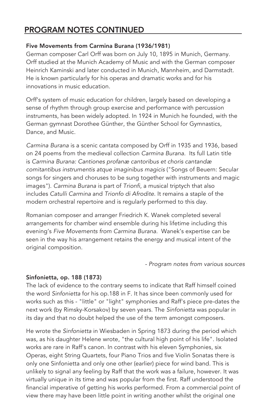### PROGRAM NOTES CONTINUED

#### Five Movements from Carmina Burana (1936/1981)

German composer Carl Orff was born on July 10, 1895 in Munich, Germany. Orff studied at the Munich Academy of Music and with the German composer Heinrich Kaminski and later conducted in Munich, Mannheim, and Darmstadt. He is known particularly for his operas and dramatic works and for his innovations in music education.

Orff's system of music education for children, largely based on developing a sense of rhythm through group exercise and performance with percussion instruments, has been widely adopted. In 1924 in Munich he founded, with the German gymnast Dorothee Günther, the Günther School for Gymnastics, Dance, and Music.

*Carmina Burana* is a scenic cantata composed by Orff in 1935 and 1936, based on 24 poems from the medieval collection *Carmina Burana.* Its full Latin title is *Carmina Burana: Cantiones profanæ cantoribus et choris cantandæ comitantibus instrumentis atque imaginibus magicis* ("Songs of Beuern: Secular songs for singers and choruses to be sung together with instruments and magic images"). *Carmina Burana* is part of *Trionfi*, a musical triptych that also includes *Catulli Carmina* and *Trionfo di Afrodite*. It remains a staple of the modern orchestral repertoire and is regularly performed to this day.

Romanian composer and arranger Friedrich K. Wanek completed several arrangements for chamber wind ensemble during his lifetime including this evening's *Five Movements from Carmina Burana*. Wanek's expertise can be seen in the way his arrangement retains the energy and musical intent of the original composition.

*- Program notes from various sources*

#### Sinfonietta, op. 188 (1873)

The lack of evidence to the contrary seems to indicate that Raff himself coined the word *Sinfonietta* for his op.188 in F. It has since been commonly used for works such as this - "little" or "light" symphonies and Raff's piece pre-dates the next work (by Rimsky-Korsakov) by seven years. The *Sinfonietta* was popular in its day and that no doubt helped the use of the term amongst composers.

He wrote the *Sinfonietta* in Wiesbaden in Spring 1873 during the period which was, as his daughter Helene wrote, "the cultural high point of his life". Isolated works are rare in Raff's canon. In contrast with his eleven Symphonies, six Operas, eight String Quartets, four Piano Trios and five Violin Sonatas there is only one Sinfonietta and only one other (earlier) piece for wind band. This is unlikely to signal any feeling by Raff that the work was a failure, however. It was virtually unique in its time and was popular from the first. Raff understood the financial imperative of getting his works performed. From a commercial point of view there may have been little point in writing another whilst the original one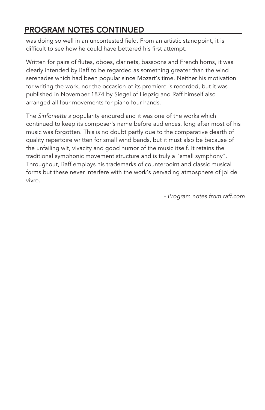## PROGRAM NOTES CONTINUED

was doing so well in an uncontested field. From an artistic standpoint, it is difficult to see how he could have bettered his first attempt.

Written for pairs of flutes, oboes, clarinets, bassoons and French horns, it was clearly intended by Raff to be regarded as something greater than the wind serenades which had been popular since Mozart's time. Neither his motivation for writing the work, nor the occasion of its premiere is recorded, but it was published in November 1874 by Siegel of Liepzig and Raff himself also arranged all four movements for piano four hands.

The *Sinfonietta's* popularity endured and it was one of the works which continued to keep its composer's name before audiences, long after most of his music was forgotten. This is no doubt partly due to the comparative dearth of quality repertoire written for small wind bands, but it must also be because of the unfailing wit, vivacity and good humor of the music itself. It retains the traditional symphonic movement structure and is truly a "small symphony". Throughout, Raff employs his trademarks of counterpoint and classic musical forms but these never interfere with the work's pervading atmosphere of joi de vivre.

*- Program notes from raff.com*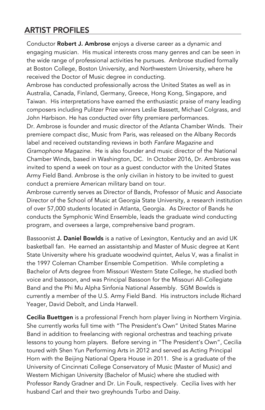# ARTIST PROFILES

Conductor Robert J. Ambrose enjoys a diverse career as a dynamic and engaging musician. His musical interests cross many genres and can be seen in the wide range of professional activities he pursues. Ambrose studied formally at Boston College, Boston University, and Northwestern University, where he received the Doctor of Music degree in conducting.

Ambrose has conducted professionally across the United States as well as in Australia, Canada, Finland, Germany, Greece, Hong Kong, Singapore, and Taiwan. His interpretations have earned the enthusiastic praise of many leading composers including Pulitzer Prize winners Leslie Bassett, Michael Colgrass, and John Harbison. He has conducted over fifty premiere performances.

Dr. Ambrose is founder and music director of the Atlanta Chamber Winds. Their premiere compact disc, Music from Paris, was released on the Albany Records label and received outstanding reviews in both *Fanfare Magazine* and *Gramophone Magazine*. He is also founder and music director of the National Chamber Winds, based in Washington, DC. In October 2016, Dr. Ambrose was invited to spend a week on tour as a guest conductor with the United States Army Field Band. Ambrose is the only civilian in history to be invited to guest conduct a premiere American military band on tour.

Ambrose currently serves as Director of Bands, Professor of Music and Associate Director of the School of Music at Georgia State University, a research institution of over 57,000 students located in Atlanta, Georgia. As Director of Bands he conducts the Symphonic Wind Ensemble, leads the graduate wind conducting program, and oversees a large, comprehensive band program.

Bassoonist J. Daniel Bowlds is a native of Lexington, Kentucky and an avid UK basketball fan. He earned an assistantship and Master of Music degree at Kent State University where his graduate woodwind quintet, Aelus V, was a finalist in the 1997 Coleman Chamber Ensemble Competition. While completing a Bachelor of Arts degree from Missouri Western State College, he studied both voice and bassoon, and was Principal Bassoon for the Missouri All-Collegiate Band and the Phi Mu Alpha Sinfonia National Assembly. SGM Bowlds is currently a member of the U.S. Army Field Band. His instructors include Richard Yeager, David Debolt, and Linda Harwell.

Cecilia Buettgen is a professional French horn player living in Northern Virginia. She currently works full time with "The President's Own" United States Marine Band in addition to freelancing with regional orchestras and teaching private lessons to young horn players. Before serving in "The President's Own", Cecilia toured with Shen Yun Performing Arts in 2012 and served as Acting Principal Horn with the Beijing National Opera House in 2011. She is a graduate of the University of Cincinnati College Conservatory of Music (Master of Music) and Western Michigan University (Bachelor of Music) where she studied with Professor Randy Gradner and Dr. Lin Foulk, respectively. Cecilia lives with her husband Carl and their two greyhounds Turbo and Daisy.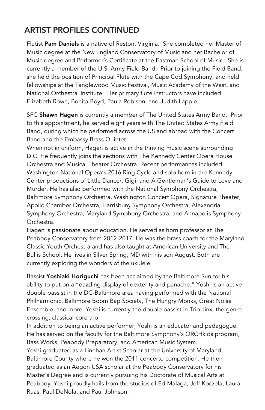# ARTIST PROFILES CONTINUED

Flutist Pam Daniels is a native of Reston, Virginia. She completed her Master of Music degree at the New England Conservatory of Music and her Bachelor of Music degree and Performer's Certificate at the Eastman School of Music. She is currently a member of the U.S. Army Field Band. Prior to joining the Field Band, she held the position of Principal Flute with the Cape Cod Symphony, and held fellowships at the Tanglewood Music Festival, Music Academy of the West, and National Orchestral Institute. Her primary flute instructors have included Elizabeth Rowe, Bonita Boyd, Paula Robison, and Judith Lapple.

SFC Shawn Hagen is currently a member of The United States Army Band. Prior to this appointment, he served eight years with The United States Army Field Band, during which he performed across the US and abroad with the Concert Band and the Embassy Brass Quintet.

When not in uniform, Hagen is active in the thriving music scene surrounding D.C. He frequently joins the sections with The Kennedy Center Opera House Orchestra and Musical Theater Orchestra. Recent performances included Washington National Opera's 2016 Ring Cycle and solo horn in the Kennedy Center productions of Little Dancer, Gigi, and A Gentleman's Guide to Love and Murder. He has also performed with the National Symphony Orchestra, Baltimore Symphony Orchestra, Washington Concert Opera, Signature Theater, Apollo Chamber Orchestra, Harrisburg Symphony Orchestra, Alexandria Symphony Orchestra, Maryland Symphony Orchestra, and Annapolis Symphony Orchestra.

Hagen is passionate about education. He served as horn professor at The Peabody Conservatory from 2012-2017. He was the brass coach for the Maryland Classic Youth Orchestra and has also taught at American University and The Bullis School. He lives in Silver Spring, MD with his son August. Both are currently exploring the wonders of the ukulele.

Bassist Yoshiaki Horiguchi has been acclaimed by the Baltimore Sun for his ability to put on a "dazzling display of dexterity and panache." Yoshi is an active double bassist in the DC-Baltimore area having performed with the National Philharmonic, Baltimore Boom Bap Society, The Hungry Monks, Great Noise Ensemble, and more. Yoshi is currently the double bassist in Trio Jinx, the genrecrossing, classical-core trio.

In addition to being an active performer, Yoshi is an educator and pedagogue. He has served on the faculty for the Baltimore Symphony's ORCHkids program, Bass Works, Peabody Preparatory, and American Music System.

Yoshi graduated as a Linehan Artist Scholar at the University of Maryland, Baltimore County where he won the 2011 concerto competition. He then graduated as an Aegon USA scholar at the Peabody Conservatory for his Master's Degree and is currently pursuing his Doctorate of Musical Arts at Peabody. Yoshi proudly hails from the studios of Ed Malaga, Jeff Koczela, Laura Ruas, Paul DeNola, and Paul Johnson.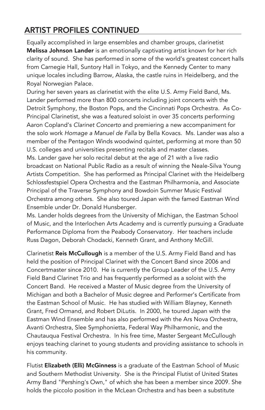# ARTIST PROFILES CONTINUED

Equally accomplished in large ensembles and chamber groups, clarinetist Melissa Johnson Lander is an emotionally captivating artist known for her rich clarity of sound. She has performed in some of the world's greatest concert halls from Carnegie Hall, Suntory Hall in Tokyo, and the Kennedy Center to many unique locales including Barrow, Alaska, the castle ruins in Heidelberg, and the Royal Norwegian Palace.

During her seven years as clarinetist with the elite U.S. Army Field Band, Ms. Lander performed more than 800 concerts including joint concerts with the Detroit Symphony, the Boston Pops, and the Cincinnati Pops Orchestra. As Co-Principal Clarinetist, she was a featured soloist in over 35 concerts performing Aaron Copland's *Clarinet Concerto* and premiering a new accompaniment for the solo work *Homage a Manuel de Falla* by Bella Kovacs. Ms. Lander was also a member of the Pentagon Winds woodwind quintet, performing at more than 50 U.S. colleges and universities presenting recitals and master classes.

Ms. Lander gave her solo recital debut at the age of 21 with a live radio broadcast on National Public Radio as a result of winning the Neale-Silva Young Artists Competition. She has performed as Principal Clarinet with the Heidelberg Schlossfestspiel Opera Orchestra and the Eastman Philharmonia, and Associate Principal of the Traverse Symphony and Bowdoin Summer Music Festival Orchestra among others. She also toured Japan with the famed Eastman Wind Ensemble under Dr. Donald Hunsberger.

Ms. Lander holds degrees from the University of Michigan, the Eastman School of Music, and the Interlochen Arts Academy and is currently pursuing a Graduate Performance Diploma from the Peabody Conservatory. Her teachers include Russ Dagon, Deborah Chodacki, Kenneth Grant, and Anthony McGill.

Clarinetist Reis McCullough is a member of the U.S. Army Field Band and has held the position of Principal Clarinet with the Concert Band since 2006 and Concertmaster since 2010. He is currently the Group Leader of the U.S. Army Field Band Clarinet Trio and has frequently performed as a soloist with the Concert Band. He received a Master of Music degree from the University of Michigan and both a Bachelor of Music degree and Performer's Certificate from the Eastman School of Music. He has studied with William Blayney, Kenneth Grant, Fred Ormand, and Robert DiLutis. In 2000, he toured Japan with the Eastman Wind Ensemble and has also performed with the Ars Nova Orchestra, Avanti Orchestra, Slee Symphonietta, Federal Way Philharmonic, and the Chautauqua Festival Orchestra. In his free time, Master Sergeant McCullough enjoys teaching clarinet to young students and providing assistance to schools in his community.

Flutist Elizabeth (Elli) McGinness is a graduate of the Eastman School of Music and Southern Methodist University. She is the Principal Flutist of United States Army Band "Pershing's Own," of which she has been a member since 2009. She holds the piccolo position in the McLean Orchestra and has been a substitute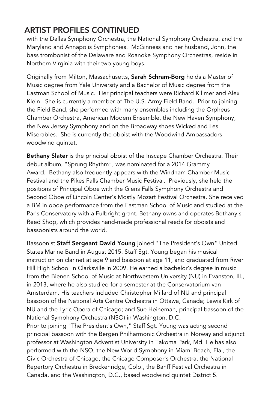# ARTIST PROFILES CONTINUED

with the Dallas Symphony Orchestra, the National Symphony Orchestra, and the Maryland and Annapolis Symphonies. McGinness and her husband, John, the bass trombonist of the Delaware and Roanoke Symphony Orchestras, reside in Northern Virginia with their two young boys.

Originally from Milton, Massachusetts, Sarah Schram-Borg holds a Master of Music degree from Yale University and a Bachelor of Music degree from the Eastman School of Music. Her principal teachers were Richard Killmer and Alex Klein. She is currently a member of The U.S. Army Field Band. Prior to joining the Field Band, she performed with many ensembles including the Orpheus Chamber Orchestra, American Modern Ensemble, the New Haven Symphony, the New Jersey Symphony and on the Broadway shoes Wicked and Les Miserables. She is currently the oboist with the Woodwind Ambassadors woodwind quintet.

Bethany Slater is the principal oboist of the Inscape Chamber Orchestra. Their debut album, "Sprung Rhythm", was nominated for a 2014 Grammy Award. Bethany also frequently appears with the Windham Chamber Music Festival and the Pikes Falls Chamber Music Festival. Previously, she held the positions of Principal Oboe with the Glens Falls Symphony Orchestra and Second Oboe of Lincoln Center's Mostly Mozart Festival Orchestra. She received a BM in oboe performance from the Eastman School of Music and studied at the Paris Conservatory with a Fulbright grant. Bethany owns and operates Bethany's Reed Shop, which provides hand-made professional reeds for oboists and bassoonists around the world.

Bassoonist Staff Sergeant David Young joined "The President's Own" United States Marine Band in August 2015. Staff Sgt. Young began his musical instruction on clarinet at age 9 and bassoon at age 11, and graduated from River Hill High School in Clarksville in 2009. He earned a bachelor's degree in music from the Bienen School of Music at Northwestern University (NU) in Evanston, Ill., in 2013, where he also studied for a semester at the Conservatorium van Amsterdam. His teachers included Christopher Millard of NU and principal bassoon of the National Arts Centre Orchestra in Ottawa, Canada; Lewis Kirk of NU and the Lyric Opera of Chicago; and Sue Heineman, principal bassoon of the National Symphony Orchestra (NSO) in Washington, D.C.

Prior to joining "The President's Own," Staff Sgt. Young was acting second principal bassoon with the Bergen Philharmonic Orchestra in Norway and adjunct professor at Washington Adventist University in Takoma Park, Md. He has also performed with the NSO, the New World Symphony in Miami Beach, Fla., the Civic Orchestra of Chicago, the Chicago Composer's Orchestra, the National Repertory Orchestra in Breckenridge, Colo., the Banff Festival Orchestra in Canada, and the Washington, D.C., based woodwind quintet District 5.